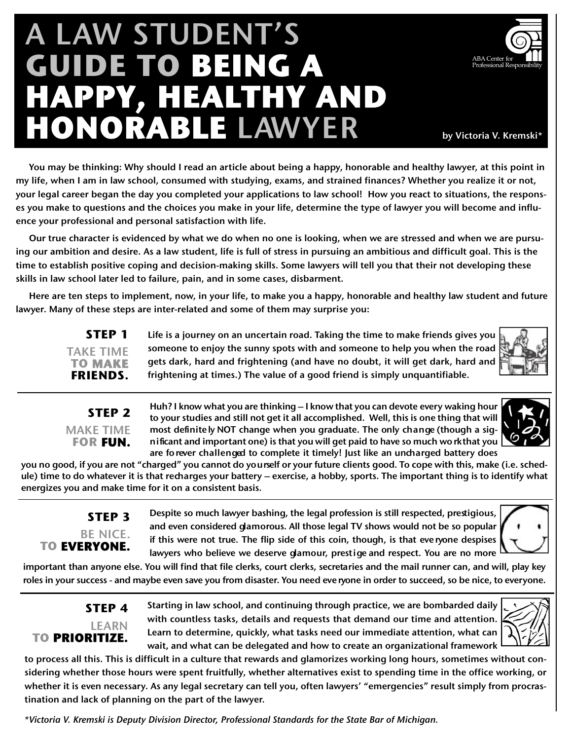# A LAW STUDENT'S **GUIDE TO BEING A HAPPY, HEALTHY AND HONORABLE LAWYER** by Victoria V. Kremski\*



You may be thinking: Why should I read an article about being a happy, honorable and healthy lawyer, at this point in my life, when I am in law school, consumed with studying, exams, and strained finances? Whether you realize it or not, your legal career began the day you completed your applications to law school! How you react to situations, the responses you make to questions and the choices you make in your life, determine the type of lawyer you will become and influence your professional and personal satisfaction with life.

Our true character is evidenced by what we do when no one is looking, when we are stressed and when we are pursuing our ambition and desire. As a law student, life is full of stress in pursuing an ambitious and difficult goal. This is the time to establish positive coping and decision-making skills. Some lawyers will tell you that their not developing these skills in law school later led to failure, pain, and in some cases, disbarment.

Here are ten steps to implement, now, in your life, to make you a happy, honorable and healthy law student and future lawyer. Many of these steps are inter-related and some of them may surprise you:

**STEP 1** TAKE TIME **TO MAKE FRIENDS.** Life is a journey on an uncertain road. Taking the time to make friends gives you someone to enjoy the sunny spots with and someone to help you when the road gets dark, hard and frightening (and have no doubt, it will get dark, hard and frightening at times.) The value of a good friend is simply unquantifiable.

#### **STEP 2** MAKE TIME **FOR FUN.**

Huh? I know what you are thinking – I know that you can devote every waking hour to your studies and still not get it all accomplished. Well, this is one thing that will most definitely NOT change when you graduate. The only change (though a sign ificant and important one) is that you will get paid to have so much wo rkthat you are fo rever challenged to complete it timely! Just like an uncharged battery does



you no good, if you are not "charged" you cannot do yourself or your future clients good. To cope with this, make (i.e. schedule) time to do whatever it is that recharges your battery – exercise, a hobby, sports. The important thing is to identify what energizes you and make time for it on a consistent basis.

## **STEP 3** BE NICE.<br>**TO EVERYONE.**

Despite so much lawyer bashing, the legal profession is still respected, prestigious, and even considered glamorous. All those legal TV shows would not be so popular if this were not true. The flip side of this coin, though, is that eve ryone despises lawyers who believe we deserve glamour, prestige and respect. You are no more



important than anyone else. You will find that file clerks, court clerks, secretaries and the mail runner can, and will, play key roles in your success - and maybe even save you from disaster. You need eve ryone in order to succeed, so be nice, to everyone.

### **STEP 4** LEARN **TO PRIORITIZE.**

Starting in law school, and continuing through practice, we are bombarded daily with countless tasks, details and requests that demand our time and attention. Learn to determine, quickly, what tasks need our immediate attention, what can wait, and what can be delegated and how to create an organizational framework



to process all this. This is difficult in a culture that rewards and glamorizes working long hours, sometimes without considering whether those hours were spent fruitfully, whether alternatives exist to spending time in the office working, or whether it is even necessary. As any legal secretary can tell you, often lawyers' "emergencies" result simply from procrastination and lack of planning on the part of the lawyer.

*\*Victoria V. Kremski is Deputy Division Director, Professional Standards for the State Bar of Michigan.*